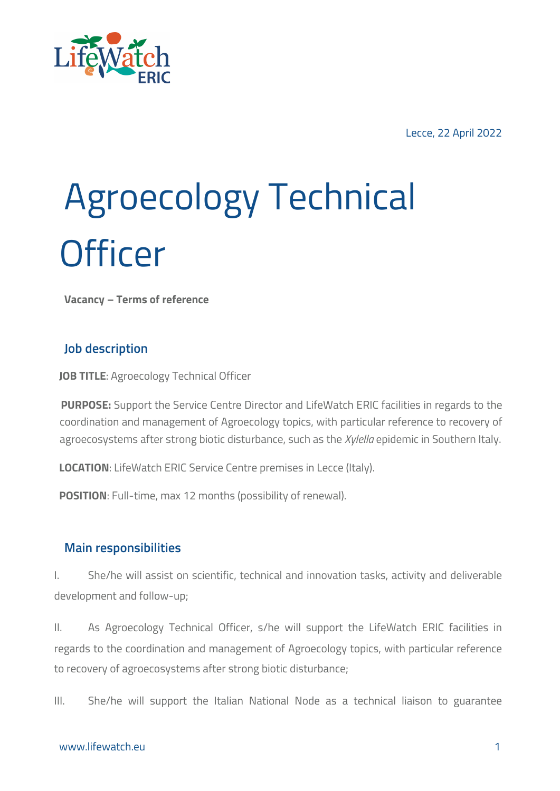

Lecce, 22 April 2022

# Agroecology Technical **Officer**

**Vacancy – Terms of reference**

### **Job description**

**JOB TITLE**: Agroecology Technical Officer

**PURPOSE:** Support the Service Centre Director and LifeWatch ERIC facilities in regards to the coordination and management of Agroecology topics, with particular reference to recovery of agroecosystems after strong biotic disturbance, such as the *Xylella* epidemic in Southern Italy.

**LOCATION**: LifeWatch ERIC Service Centre premises in Lecce (Italy).

**POSITION**: Full-time, max 12 months (possibility of renewal).

#### **Main responsibilities**

I. She/he will assist on scientific, technical and innovation tasks, activity and deliverable development and follow-up;

II. As Agroecology Technical Officer, s/he will support the LifeWatch ERIC facilities in regards to the coordination and management of Agroecology topics, with particular reference to recovery of agroecosystems after strong biotic disturbance;

III. She/he will support the Italian National Node as a technical liaison to guarantee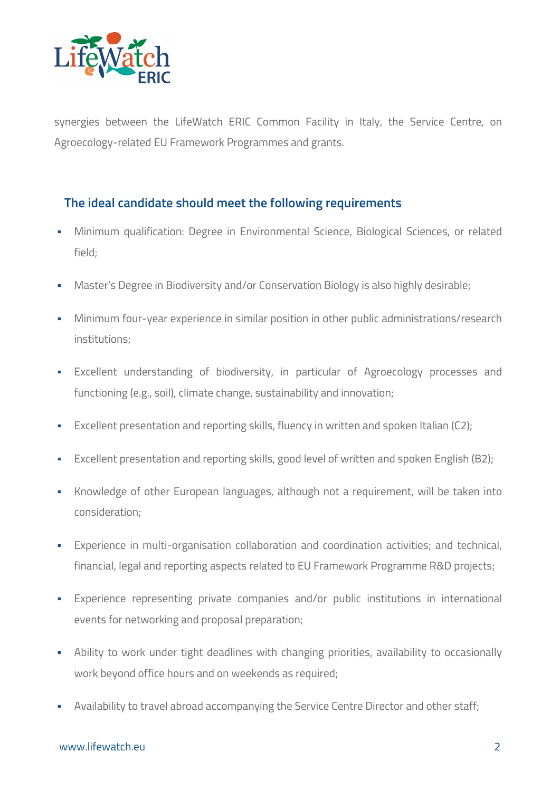

synergies between the LifeWatch ERIC Common Facility in Italy, the Service Centre, on Agroecology-related EU Framework Programmes and grants.

## **The ideal candidate should meet the following requirements**

- Minimum qualification: Degree in Environmental Science, Biological Sciences, or related field;
- **Master's Degree in Biodiversity and/or Conservation Biology is also highly desirable;**
- Minimum four-year experience in similar position in other public administrations/research institutions;
- § Excellent understanding of biodiversity, in particular of Agroecology processes and functioning (e.g., soil), climate change, sustainability and innovation;
- **Excellent presentation and reporting skills, fluency in written and spoken Italian (C2);**
- Excellent presentation and reporting skills, good level of written and spoken English (B2);
- § Knowledge of other European languages, although not a requirement, will be taken into consideration;
- Experience in multi-organisation collaboration and coordination activities; and technical, financial, legal and reporting aspects related to EU Framework Programme R&D projects;
- § Experience representing private companies and/or public institutions in international events for networking and proposal preparation;
- Ability to work under tight deadlines with changing priorities, availability to occasionally work beyond office hours and on weekends as required;
- § Availability to travel abroad accompanying the Service Centre Director and other staff;

#### www.lifewatch.eu 2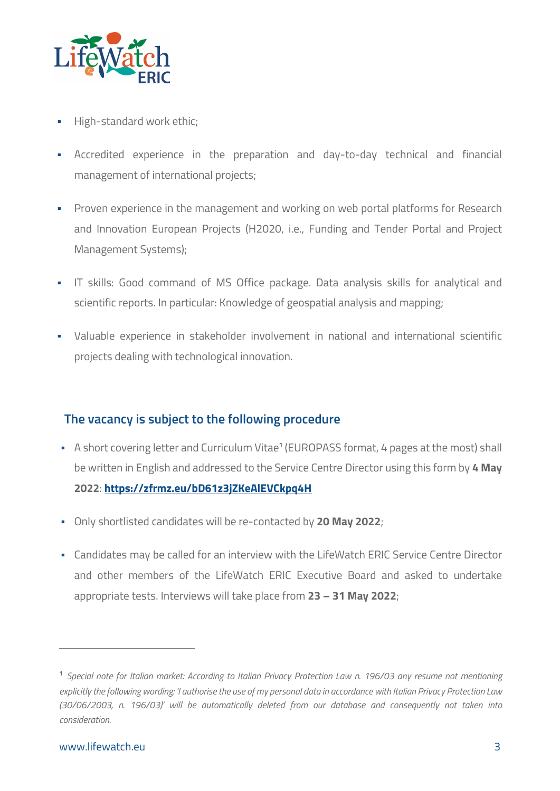

- § High-standard work ethic;
- § Accredited experience in the preparation and day-to-day technical and financial management of international projects;
- § Proven experience in the management and working on web portal platforms for Research and Innovation European Projects (H2020, i.e., Funding and Tender Portal and Project Management Systems);
- § IT skills: Good command of MS Office package. Data analysis skills for analytical and scientific reports. In particular: Knowledge of geospatial analysis and mapping;
- § Valuable experience in stakeholder involvement in national and international scientific projects dealing with technological innovation.

# **The vacancy is subject to the following procedure**

- § A short covering letter and Curriculum Vitae**<sup>1</sup>** (EUROPASS format, 4 pages at the most) shall be written in English and addressed to the Service Centre Director using this form by **4 May 2022**: **https://zfrmz.eu/bD61z3jZKeAlEVCkpq4H**
- § Only shortlisted candidates will be re-contacted by **20 May 2022**;
- § Candidates may be called for an interview with the LifeWatch ERIC Service Centre Director and other members of the LifeWatch ERIC Executive Board and asked to undertake appropriate tests. Interviews will take place from **23 – 31 May 2022**;

**<sup>1</sup>** *Special note for Italian market: According to Italian Privacy Protection Law n. 196/03 any resume not mentioning explicitly the following wording: 'I authorise the use of my personal data in accordance with Italian Privacy Protection Law (30/06/2003, n. 196/03)' will be automatically deleted from our database and consequently not taken into consideration.*